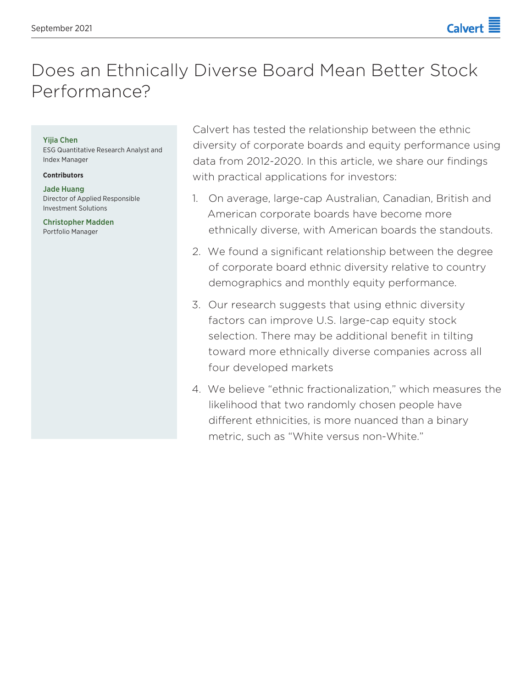# Does an Ethnically Diverse Board Mean Better Stock Performance?

### Yijia Chen

ESG Quantitative Research Analyst and Index Manager

#### **Contributors**

Jade Huang Director of Applied Responsible Investment Solutions

Christopher Madden Portfolio Manager

Calvert has tested the relationship between the ethnic diversity of corporate boards and equity performance using data from 2012-2020. In this article, we share our findings with practical applications for investors:

- 1. On average, large-cap Australian, Canadian, British and American corporate boards have become more ethnically diverse, with American boards the standouts.
- 2. We found a significant relationship between the degree of corporate board ethnic diversity relative to country demographics and monthly equity performance.
- 3. Our research suggests that using ethnic diversity factors can improve U.S. large-cap equity stock selection. There may be additional benefit in tilting toward more ethnically diverse companies across all four developed markets
- 4. We believe "ethnic fractionalization," which measures the likelihood that two randomly chosen people have different ethnicities, is more nuanced than a binary metric, such as "White versus non-White."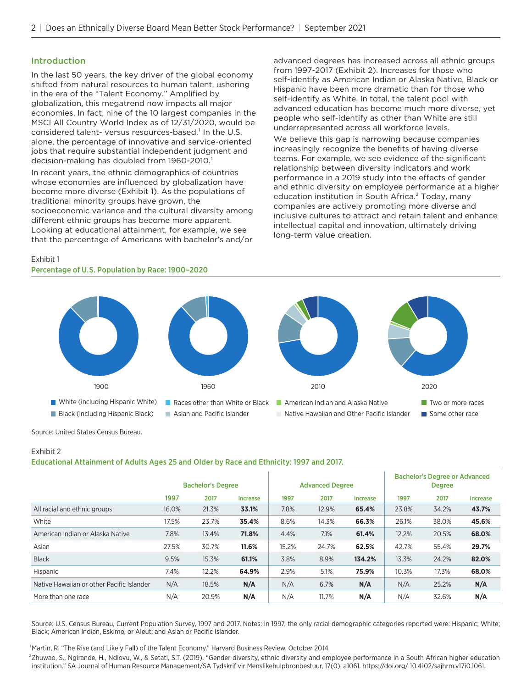# Introduction

In the last 50 years, the key driver of the global economy shifted from natural resources to human talent, ushering in the era of the "Talent Economy." Amplified by globalization, this megatrend now impacts all major economies. In fact, nine of the 10 largest companies in the MSCI All Country World Index as of 12/31/2020, would be considered talent- versus resources-based.<sup>1</sup> In the U.S. alone, the percentage of innovative and service-oriented jobs that require substantial independent judgment and decision-making has doubled from 1960-2010.<sup>1</sup>

In recent years, the ethnic demographics of countries whose economies are influenced by globalization have become more diverse (Exhibit 1). As the populations of traditional minority groups have grown, the socioeconomic variance and the cultural diversity among different ethnic groups has become more apparent. Looking at educational attainment, for example, we see that the percentage of Americans with bachelor's and/or

advanced degrees has increased across all ethnic groups from 1997-2017 (Exhibit 2). Increases for those who self-identify as American Indian or Alaska Native, Black or Hispanic have been more dramatic than for those who self-identify as White. In total, the talent pool with advanced education has become much more diverse, yet people who self-identify as other than White are still underrepresented across all workforce levels.

We believe this gap is narrowing because companies increasingly recognize the benefits of having diverse teams. For example, we see evidence of the significant relationship between diversity indicators and work performance in a 2019 study into the effects of gender and ethnic diversity on employee performance at a higher education institution in South Africa.<sup>2</sup> Today, many companies are actively promoting more diverse and inclusive cultures to attract and retain talent and enhance intellectual capital and innovation, ultimately driving long-term value creation.

### Exhibit 1

#### Percentage of U.S. Population by Race: 1900–2020



Source: United States Census Bureau.

#### Exhibit 2 Educational Attainment of Adults Ages 25 and Older by Race and Ethnicity: 1997 and 2017.

|                                           | <b>Bachelor's Degree</b> |       |          | <b>Advanced Degree</b> |       | <b>Bachelor's Degree or Advanced</b><br><b>Degree</b> |       |       |                 |
|-------------------------------------------|--------------------------|-------|----------|------------------------|-------|-------------------------------------------------------|-------|-------|-----------------|
|                                           | 1997                     | 2017  | Increase | 1997                   | 2017  | <b>Increase</b>                                       | 1997  | 2017  | <b>Increase</b> |
| All racial and ethnic groups              | 16.0%                    | 21.3% | 33.1%    | 7.8%                   | 12.9% | 65.4%                                                 | 23.8% | 34.2% | 43.7%           |
| White                                     | 17.5%                    | 23.7% | 35.4%    | 8.6%                   | 14.3% | 66.3%                                                 | 26.1% | 38.0% | 45.6%           |
| American Indian or Alaska Native          | 7.8%                     | 13.4% | 71.8%    | 4.4%                   | 7.1%  | 61.4%                                                 | 12.2% | 20.5% | 68.0%           |
| Asian                                     | 27.5%                    | 30.7% | 11.6%    | 15.2%                  | 24.7% | 62.5%                                                 | 42.7% | 55.4% | 29.7%           |
| <b>Black</b>                              | 9.5%                     | 15.3% | 61.1%    | 3.8%                   | 8.9%  | 134.2%                                                | 13.3% | 24.2% | 82.0%           |
| Hispanic                                  | 7.4%                     | 12.2% | 64.9%    | 2.9%                   | 5.1%  | 75.9%                                                 | 10.3% | 17.3% | 68.0%           |
| Native Hawaiian or other Pacific Islander | N/A                      | 18.5% | N/A      | N/A                    | 6.7%  | N/A                                                   | N/A   | 25.2% | N/A             |
| More than one race                        | N/A                      | 20.9% | N/A      | N/A                    | 11.7% | N/A                                                   | N/A   | 32.6% | N/A             |

Source: U.S. Census Bureau, Current Population Survey, 1997 and 2017. Notes: In 1997, the only racial demographic categories reported were: Hispanic; White; Black; American Indian, Eskimo, or Aleut; and Asian or Pacific Islander.

<sup>1</sup>Martin, R. "The Rise (and Likely Fall) of the Talent Economy." Harvard Business Review. October 2014.

²Zhuwao, S., Ngirande, H., Ndlovu, W., & Setati, S.T. (2019). "Gender diversity, ethnic diversity and employee performance in a South African higher education institution." SA Journal of Human Resource Management/SA Tydskrif vir Menslikehulpbronbestuur, 17(0), a1061. https://doi.org/ 10.4102/sajhrm.v17i0.1061.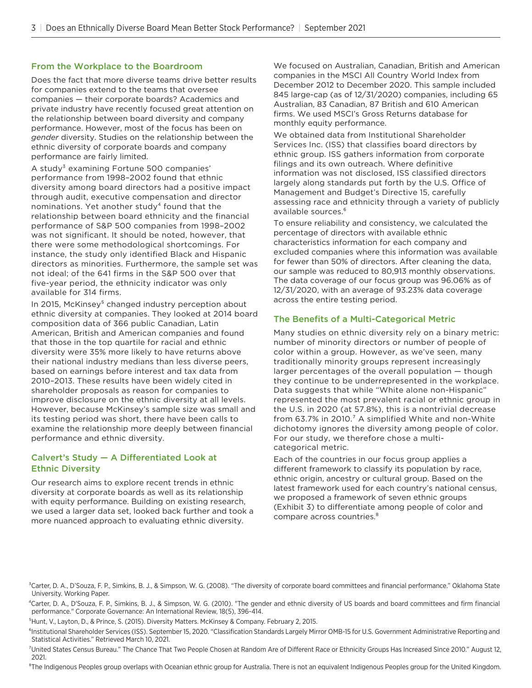# From the Workplace to the Boardroom

Does the fact that more diverse teams drive better results for companies extend to the teams that oversee companies — their corporate boards? Academics and private industry have recently focused great attention on the relationship between board diversity and company performance. However, most of the focus has been on *gender* diversity. Studies on the relationship between the ethnic diversity of corporate boards and company performance are fairly limited.

A study<sup>3</sup> examining Fortune 500 companies' performance from 1998–2002 found that ethnic diversity among board directors had a positive impact through audit, executive compensation and director nominations. Yet another study $4$  found that the relationship between board ethnicity and the financial performance of S&P 500 companies from 1998–2002 was not significant. It should be noted, however, that there were some methodological shortcomings. For instance, the study only identified Black and Hispanic directors as minorities. Furthermore, the sample set was not ideal; of the 641 firms in the S&P 500 over that five-year period, the ethnicity indicator was only available for 314 firms.

In 2015, McKinsey<sup>5</sup> changed industry perception about ethnic diversity at companies. They looked at 2014 board composition data of 366 public Canadian, Latin American, British and American companies and found that those in the top quartile for racial and ethnic diversity were 35% more likely to have returns above their national industry medians than less diverse peers, based on earnings before interest and tax data from 2010–2013. These results have been widely cited in shareholder proposals as reason for companies to improve disclosure on the ethnic diversity at all levels. However, because McKinsey's sample size was small and its testing period was short, there have been calls to examine the relationship more deeply between financial performance and ethnic diversity.

# Calvert's Study — A Differentiated Look at Ethnic Diversity

Our research aims to explore recent trends in ethnic diversity at corporate boards as well as its relationship with equity performance. Building on existing research, we used a larger data set, looked back further and took a more nuanced approach to evaluating ethnic diversity.

We focused on Australian, Canadian, British and American companies in the MSCI All Country World Index from December 2012 to December 2020. This sample included 845 large-cap (as of 12/31/2020) companies, including 65 Australian, 83 Canadian, 87 British and 610 American firms. We used MSCI's Gross Returns database for monthly equity performance.

We obtained data from Institutional Shareholder Services Inc. (ISS) that classifies board directors by ethnic group. ISS gathers information from corporate filings and its own outreach. Where definitive information was not disclosed, ISS classified directors largely along standards put forth by the U.S. Office of Management and Budget's Directive 15, carefully assessing race and ethnicity through a variety of publicly available sources.<sup>6</sup>

To ensure reliability and consistency, we calculated the percentage of directors with available ethnic characteristics information for each company and excluded companies where this information was available for fewer than 50% of directors. After cleaning the data, our sample was reduced to 80,913 monthly observations. The data coverage of our focus group was 96.06% as of 12/31/2020, with an average of 93.23% data coverage across the entire testing period.

# The Benefits of a Multi-Categorical Metric

Many studies on ethnic diversity rely on a binary metric: number of minority directors or number of people of color within a group. However, as we've seen, many traditionally minority groups represent increasingly larger percentages of the overall population — though they continue to be underrepresented in the workplace. Data suggests that while "White alone non-Hispanic" represented the most prevalent racial or ethnic group in the U.S. in 2020 (at 57.8%), this is a nontrivial decrease from  $63.7\%$  in 2010.<sup>7</sup> A simplified White and non-White dichotomy ignores the diversity among people of color. For our study, we therefore chose a multicategorical metric.

Each of the countries in our focus group applies a different framework to classify its population by race, ethnic origin, ancestry or cultural group. Based on the latest framework used for each country's national census, we proposed a framework of seven ethnic groups (Exhibit 3) to differentiate among people of color and compare across countries.<sup>8</sup>

<sup>&</sup>lt;sup>3</sup>Carter, D. A., D'Souza, F. P., Simkins, B. J., & Simpson, W. G. (2008). "The diversity of corporate board committees and financial performance." Oklahoma State University. Working Paper.

⁴Carter, D. A., D'Souza, F. P., Simkins, B. J., & Simpson, W. G. (2010). "The gender and ethnic diversity of US boards and board committees and firm financial performance." Corporate Governance: An International Review, 18(5), 396-414.

<sup>&</sup>lt;sup>5</sup> Hunt, V., Layton, D., & Prince, S. (2015). Diversity Matters. McKinsey & Company. February 2, 2015.

<sup>&</sup>lt;sup>6</sup>Institutional Shareholder Services (ISS). September 15, 2020. "Classification Standards Largely Mirror OMB-15 for U.S. Government Administrative Reporting and Statistical Activities." Retrieved March 10, 2021.

<sup>&</sup>lt;sup>7</sup>United States Census Bureau." The Chance That Two People Chosen at Random Are of Different Race or Ethnicity Groups Has Increased Since 2010." August 12, 2021.

<sup>&</sup>lt;sup>8</sup>The Indigenous Peoples group overlaps with Oceanian ethnic group for Australia. There is not an equivalent Indigenous Peoples group for the United Kingdom.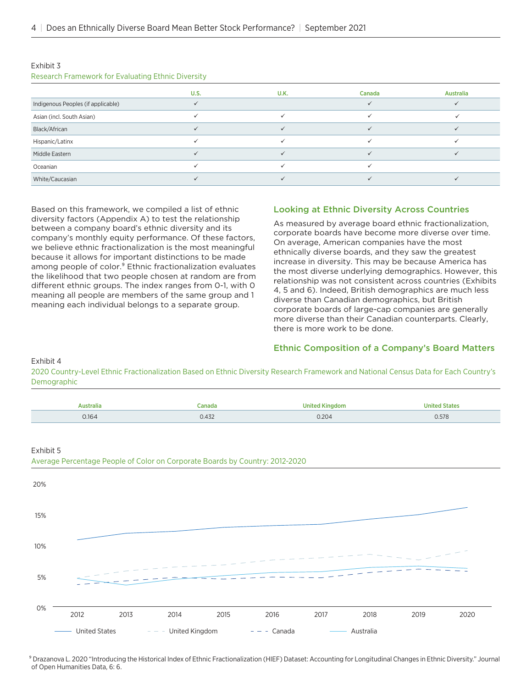| $1.030$ and $1.110$ and $1.011$ and $1.01$ and $1.01$ and $1.010$ and $1.010$ and $1.010$ |             |      |        |           |
|-------------------------------------------------------------------------------------------|-------------|------|--------|-----------|
|                                                                                           | <b>U.S.</b> | U.K. | Canada | Australia |
| Indigenous Peoples (if applicable)                                                        |             |      |        |           |
| Asian (incl. South Asian)                                                                 |             |      |        |           |
| Black/African                                                                             |             |      |        |           |
| Hispanic/Latinx                                                                           |             |      |        |           |
| Middle Eastern                                                                            |             |      |        |           |
| Oceanian                                                                                  |             |      |        |           |
| White/Caucasian                                                                           |             |      |        |           |

#### Exhibit 3

Research Framework for Evaluating Ethnic Diversity

Based on this framework, we compiled a list of ethnic diversity factors (Appendix A) to test the relationship between a company board's ethnic diversity and its company's monthly equity performance. Of these factors, we believe ethnic fractionalization is the most meaningful because it allows for important distinctions to be made among people of color.<sup>9</sup> Ethnic fractionalization evaluates the likelihood that two people chosen at random are from different ethnic groups. The index ranges from 0-1, with 0 meaning all people are members of the same group and 1 meaning each individual belongs to a separate group.

# Looking at Ethnic Diversity Across Countries

As measured by average board ethnic fractionalization, corporate boards have become more diverse over time. On average, American companies have the most ethnically diverse boards, and they saw the greatest increase in diversity. This may be because America has the most diverse underlying demographics. However, this relationship was not consistent across countries (Exhibits 4, 5 and 6). Indeed, British demographics are much less diverse than Canadian demographics, but British corporate boards of large-cap companies are generally more diverse than their Canadian counterparts. Clearly, there is more work to be done.

## Ethnic Composition of a Company's Board Matters

Exhibit 4

2020 Country-Level Ethnic Fractionalization Based on Ethnic Diversity Research Framework and National Census Data for Each Country's Demographic



<sup>9</sup> Drazanova L. 2020 "Introducing the Historical Index of Ethnic Fractionalization (HIEF) Dataset: Accounting for Longitudinal Changes in Ethnic Diversity." Journal of Open Humanities Data, 6: 6.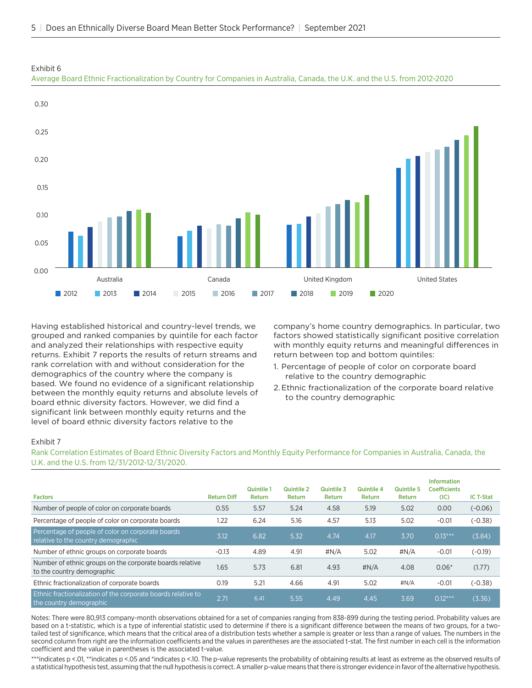

Exhibit 6

Average Board Ethnic Fractionalization by Country for Companies in Australia, Canada, the U.K. and the U.S. from 2012-2020

Having established historical and country-level trends, we grouped and ranked companies by quintile for each factor and analyzed their relationships with respective equity returns. Exhibit 7 reports the results of return streams and rank correlation with and without consideration for the demographics of the country where the company is based. We found no evidence of a significant relationship between the monthly equity returns and absolute levels of board ethnic diversity factors. However, we did find a significant link between monthly equity returns and the level of board ethnic diversity factors relative to the

company's home country demographics. In particular, two factors showed statistically significant positive correlation with monthly equity returns and meaningful differences in return between top and bottom quintiles:

- 1. Percentage of people of color on corporate board relative to the country demographic
- 2.Ethnic fractionalization of the corporate board relative to the country demographic

# Exhibit 7

Rank Correlation Estimates of Board Ethnic Diversity Factors and Monthly Equity Performance for Companies in Australia, Canada, the U.K. and the U.S. from 12/31/2012-12/31/2020.

| <b>Factors</b>                                                                           | <b>Return Diff</b> | <b>Quintile 1</b><br>Return | <b>Quintile 2</b><br>Return | Quintile 3<br><b>Return</b> | Quintile 4<br>Return | Quintile 5<br><b>Return</b> | <b>Information</b><br><b>Coefficients</b><br>(IC) | <b>IC T-Stat</b> |
|------------------------------------------------------------------------------------------|--------------------|-----------------------------|-----------------------------|-----------------------------|----------------------|-----------------------------|---------------------------------------------------|------------------|
| Number of people of color on corporate boards                                            | 0.55               | 5.57                        | 5.24                        | 4.58                        | 5.19                 | 5.02                        | 0.00                                              | $(-0.06)$        |
| Percentage of people of color on corporate boards                                        | 1.22               | 6.24                        | 5.16                        | 4.57                        | 5.13                 | 5.02                        | $-0.01$                                           | $(-0.38)$        |
| Percentage of people of color on corporate boards<br>relative to the country demographic | 3.12               | 6.82                        | 5.32                        | 4.74                        | 4.17                 | 3.70                        | $0.13***$                                         | (3.84)           |
| Number of ethnic groups on corporate boards                                              | $-0.13$            | 4.89                        | 4.91                        | #N/A                        | 5.02                 | #N/A                        | $-0.01$                                           | $(-0.19)$        |
| Number of ethnic groups on the corporate boards relative<br>to the country demographic   | 1.65               | 5.73                        | 6.81                        | 4.93                        | $\sharp N/A$         | 4.08                        | $0.06*$                                           | (1.77)           |
| Ethnic fractionalization of corporate boards                                             | 0.19               | 5.21                        | 4.66                        | 4.91                        | 5.02                 | #N/A                        | $-0.01$                                           | $(-0.38)$        |
| Ethnic fractionalization of the corporate boards relative to<br>the country demographic  | 2.71               | 6.41                        | 5.55                        | 4.49                        | 4.45                 | 3.69                        | $0.12***$                                         | (3.36)           |

Notes: There were 80,913 company-month observations obtained for a set of companies ranging from 838-899 during the testing period. Probability values are based on a t-statistic, which is a type of inferential statistic used to determine if there is a significant difference between the means of two groups, for a twotailed test of significance, which means that the critical area of a distribution tests whether a sample is greater or less than a range of values. The numbers in the second column from right are the information coefficients and the values in parentheses are the associated t-stat. The first number in each cell is the information coefficient and the value in parentheses is the associated t-value.

\*\*\*indicates p <.01, \*\*indicates p <.05 and \*indicates p <.10. The p-value represents the probability of obtaining results at least as extreme as the observed results of a statistical hypothesis test, assuming that the null hypothesis is correct. A smaller p-value means that there is stronger evidence in favor of the alternative hypothesis.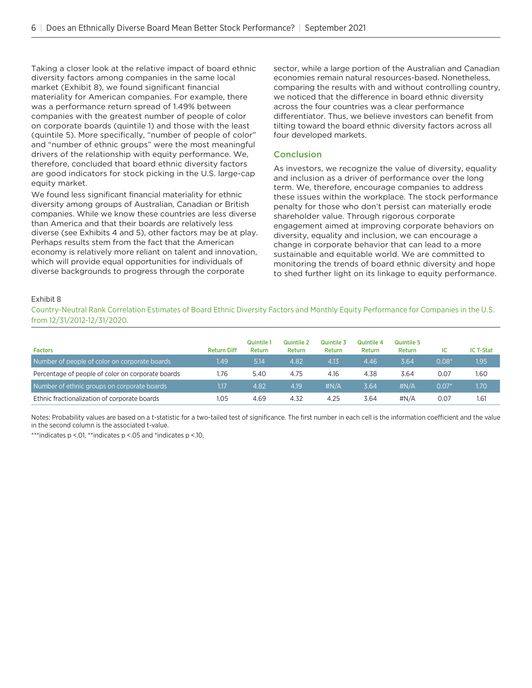Taking a closer look at the relative impact of board ethnic diversity factors among companies in the same local market (Exhibit 8), we found significant financial materiality for American companies. For example, there was a performance return spread of 1.49% between companies with the greatest number of people of color on corporate boards (quintile 1) and those with the least (quintile 5). More specifically, "number of people of color" and "number of ethnic groups" were the most meaningful drivers of the relationship with equity performance. We, therefore, concluded that board ethnic diversity factors are good indicators for stock picking in the U.S. large-cap equity market.

We found less significant financial materiality for ethnic diversity among groups of Australian, Canadian or British companies. While we know these countries are less diverse than America and that their boards are relatively less diverse (see Exhibits 4 and 5), other factors may be at play. Perhaps results stem from the fact that the American economy is relatively more reliant on talent and innovation, which will provide equal opportunities for individuals of diverse backgrounds to progress through the corporate

sector, while a large portion of the Australian and Canadian economies remain natural resources-based. Nonetheless, comparing the results with and without controlling country, we noticed that the difference in board ethnic diversity across the four countries was a clear performance differentiator. Thus, we believe investors can benefit from tilting toward the board ethnic diversity factors across all four developed markets.

# Conclusion

As investors, we recognize the value of diversity, equality and inclusion as a driver of performance over the long term. We, therefore, encourage companies to address these issues within the workplace. The stock performance penalty for those who don't persist can materially erode shareholder value. Through rigorous corporate engagement aimed at improving corporate behaviors on diversity, equality and inclusion, we can encourage a change in corporate behavior that can lead to a more sustainable and equitable world. We are committed to monitoring the trends of board ethnic diversity and hope to shed further light on its linkage to equity performance.

### Exhibit 8

Country-Neutral Rank Correlation Estimates of Board Ethnic Diversity Factors and Monthly Equity Performance for Companies in the U.S. from 12/31/2012-12/31/2020.

| <b>Factors</b>                                    | <b>Return Diff</b> | Quintile<br>Return | <b>Quintile 2</b><br>Return | <b>Quintile 3</b><br>Return | Quintile 4<br>Return | Quintile 5<br>Return | ıc      | <b>IC T-Stat</b> |
|---------------------------------------------------|--------------------|--------------------|-----------------------------|-----------------------------|----------------------|----------------------|---------|------------------|
| Number of people of color on corporate boards     | 1.49               | 5.14               | 4.82                        | 4.13                        | 4.46                 | 3.64                 | $0.08*$ | 1.95             |
| Percentage of people of color on corporate boards | 1.76               | 5.40               | 4.75                        | 4.16                        | 4.38                 | 3.64                 | 0.07    | 1.60             |
| Number of ethnic groups on corporate boards       | 1.17               | 4.82               | 4.19                        | $\#N/A$                     | 3.64                 | $\sharp N/A$         | $0.07*$ | 1.70             |
| Ethnic fractionalization of corporate boards      | 1.05               | 4.69               | 4.32                        | 4.25                        | 3.64                 | $\#N/A$              | 0.07    | 1.61             |

Notes: Probability values are based on a t-statistic for a two-tailed test of significance. The first number in each cell is the information coefficient and the value in the second column is the associated t-value.

\*\*\*indicates p <.01, \*\*indicates p <.05 and \*indicates p <.10.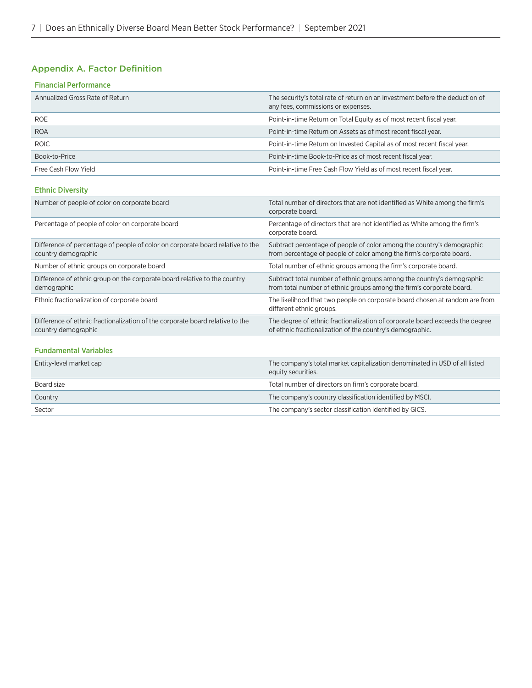# Appendix A. Factor Definition

| <b>Financial Performance</b> |
|------------------------------|
|------------------------------|

| Annualized Gross Rate of Return | The security's total rate of return on an investment before the deduction of<br>any fees, commissions or expenses. |
|---------------------------------|--------------------------------------------------------------------------------------------------------------------|
| <b>ROE</b>                      | Point-in-time Return on Total Equity as of most recent fiscal year.                                                |
| <b>ROA</b>                      | Point-in-time Return on Assets as of most recent fiscal year.                                                      |
| <b>ROIC</b>                     | Point-in-time Return on Invested Capital as of most recent fiscal year.                                            |
| Book-to-Price                   | Point-in-time Book-to-Price as of most recent fiscal year.                                                         |
| Free Cash Flow Yield            | Point-in-time Free Cash Flow Yield as of most recent fiscal year.                                                  |

### Ethnic Diversity

| Number of people of color on corporate board                                                          | Total number of directors that are not identified as White among the firm's<br>corporate board.                                                |
|-------------------------------------------------------------------------------------------------------|------------------------------------------------------------------------------------------------------------------------------------------------|
| Percentage of people of color on corporate board                                                      | Percentage of directors that are not identified as White among the firm's<br>corporate board.                                                  |
| Difference of percentage of people of color on corporate board relative to the<br>country demographic | Subtract percentage of people of color among the country's demographic<br>from percentage of people of color among the firm's corporate board. |
| Number of ethnic groups on corporate board                                                            | Total number of ethnic groups among the firm's corporate board.                                                                                |
| Difference of ethnic group on the corporate board relative to the country<br>demographic              | Subtract total number of ethnic groups among the country's demographic<br>from total number of ethnic groups among the firm's corporate board. |
| Ethnic fractionalization of corporate board                                                           | The likelihood that two people on corporate board chosen at random are from<br>different ethnic groups.                                        |
| Difference of ethnic fractionalization of the corporate board relative to the<br>country demographic  | The degree of ethnic fractionalization of corporate board exceeds the degree<br>of ethnic fractionalization of the country's demographic.      |
|                                                                                                       |                                                                                                                                                |

# Fundamental Variables

| Entity-level market cap | The company's total market capitalization denominated in USD of all listed<br>equity securities. |
|-------------------------|--------------------------------------------------------------------------------------------------|
| Board size              | Total number of directors on firm's corporate board.                                             |
| Country                 | The company's country classification identified by MSCI.                                         |
| Sector                  | The company's sector classification identified by GICS.                                          |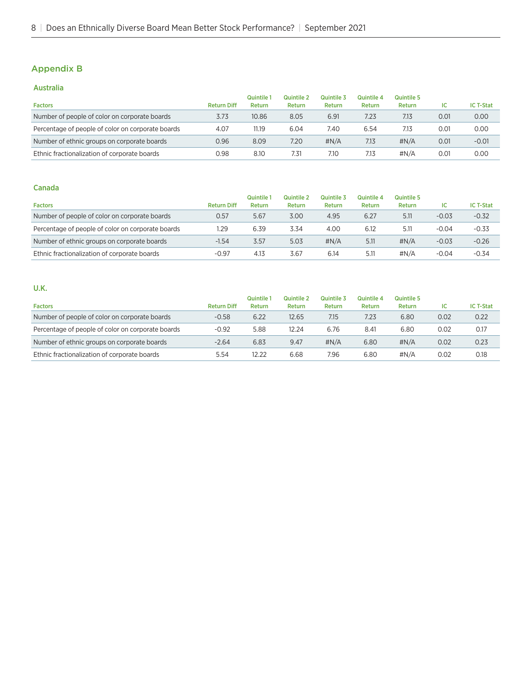# Appendix B

# Australia

|                                                   |                    | Quintile | Quintile 2 | Quintile 3 | Quintile 4 | Quintile 5 |      |                  |
|---------------------------------------------------|--------------------|----------|------------|------------|------------|------------|------|------------------|
| <b>Factors</b>                                    | <b>Return Diff</b> | Return   | Return     | Return     | Return     | Return     | ıc   | <b>IC T-Stat</b> |
| Number of people of color on corporate boards     | 3.73               | 10.86    | 8.05       | 6.91       | 7.23       | 7.13       | 0.01 | 0.00             |
| Percentage of people of color on corporate boards | 4.07               | 11.19    | 6.04       | 7.40       | 6.54       | 7.13       | 0.01 | 0.00             |
| Number of ethnic groups on corporate boards       | 0.96               | 8.09     | 7.20       | $\#N/A$    | 7.13       | $\#N/A$    | 0.01 | $-0.01$          |
| Ethnic fractionalization of corporate boards      | 0.98               | 8.10     | 7.31       | 7.10       | 7.13       | #N/A       | 0.01 | 0.00             |

# Canada

|                                                   |                    | <b>Quintile</b> | Quintile 2 | Quintile 3    | <b>Quintile 4</b> | <b>Quintile 5</b> |         |                  |
|---------------------------------------------------|--------------------|-----------------|------------|---------------|-------------------|-------------------|---------|------------------|
| <b>Factors</b>                                    | <b>Return Diff</b> | Return          | Return     | <b>Return</b> | Return            | Return            | ıc      | <b>IC T-Stat</b> |
| Number of people of color on corporate boards     | 0.57               | 5.67            | 3.00       | 4.95          | 6.27              | 5.11              | $-0.03$ | $-0.32$          |
| Percentage of people of color on corporate boards | 1.29               | 6.39            | 3.34       | 4.00          | 6.12              | 5.11              | $-0.04$ | $-0.33$          |
| Number of ethnic groups on corporate boards       | $-1.54$            | 3.57            | 5.03       | $\#N/A$       | 5.11              | $\#N/A$           | $-0.03$ | $-0.26$          |
| Ethnic fractionalization of corporate boards      | $-0.97$            | 4.13            | 3.67       | 6.14          | 5.11              | #N/A              | $-0.04$ | $-0.34$          |

# U.K.

|                                                   |                    | <b>Quintile</b> | Quintile 2 | Quintile 3   | Quintile 4 | Quintile 5 |      |                  |
|---------------------------------------------------|--------------------|-----------------|------------|--------------|------------|------------|------|------------------|
| <b>Factors</b>                                    | <b>Return Diff</b> | Return          | Return     | Return       | Return     | Return     | ıc   | <b>IC T-Stat</b> |
| Number of people of color on corporate boards     | $-0.58$            | 6.22            | 12.65      | 7.15         | 7.23       | 6.80       | 0.02 | 0.22             |
| Percentage of people of color on corporate boards | $-0.92$            | 5.88            | 12.24      | 6.76         | 8.41       | 6.80       | 0.02 | 0.17             |
| Number of ethnic groups on corporate boards       | $-2.64$            | 6.83            | 9.47       | $\sharp N/A$ | 6.80       | $\#N/A$    | 0.02 | 0.23             |
| Ethnic fractionalization of corporate boards      | 5.54               | 12.22           | 6.68       | 7.96         | 6.80       | $\#N/A$    | 0.02 | 0.18             |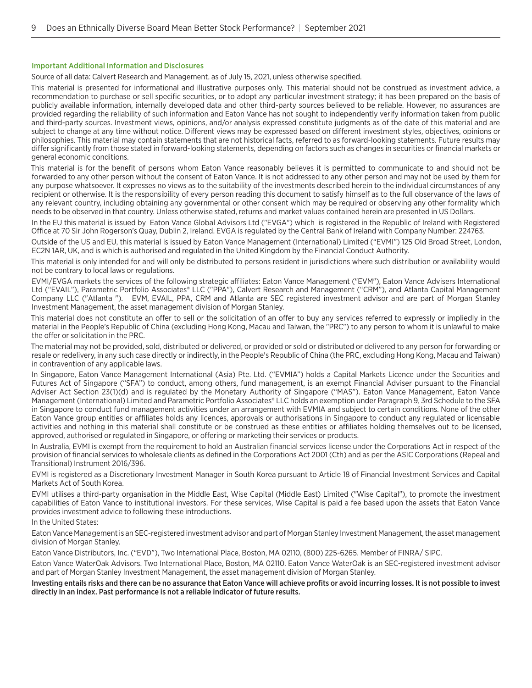#### Important Additional Information and Disclosures

Source of all data: Calvert Research and Management, as of July 15, 2021, unless otherwise specified.

This material is presented for informational and illustrative purposes only. This material should not be construed as investment advice, a recommendation to purchase or sell specific securities, or to adopt any particular investment strategy; it has been prepared on the basis of publicly available information, internally developed data and other third-party sources believed to be reliable. However, no assurances are provided regarding the reliability of such information and Eaton Vance has not sought to independently verify information taken from public and third-party sources. Investment views, opinions, and/or analysis expressed constitute judgments as of the date of this material and are subject to change at any time without notice. Different views may be expressed based on different investment styles, objectives, opinions or philosophies. This material may contain statements that are not historical facts, referred to as forward-looking statements. Future results may differ significantly from those stated in forward-looking statements, depending on factors such as changes in securities or financial markets or general economic conditions.

This material is for the benefit of persons whom Eaton Vance reasonably believes it is permitted to communicate to and should not be forwarded to any other person without the consent of Eaton Vance. It is not addressed to any other person and may not be used by them for any purpose whatsoever. It expresses no views as to the suitability of the investments described herein to the individual circumstances of any recipient or otherwise. It is the responsibility of every person reading this document to satisfy himself as to the full observance of the laws of any relevant country, including obtaining any governmental or other consent which may be required or observing any other formality which needs to be observed in that country. Unless otherwise stated, returns and market values contained herein are presented in US Dollars.

In the EU this material is issued by Eaton Vance Global Advisors Ltd ("EVGA") which is registered in the Republic of Ireland with Registered Office at 70 Sir John Rogerson's Quay, Dublin 2, Ireland. EVGA is regulated by the Central Bank of Ireland with Company Number: 224763.

Outside of the US and EU, this material is issued by Eaton Vance Management (International) Limited ("EVMI") 125 Old Broad Street, London, EC2N 1AR, UK, and is which is authorised and regulated in the United Kingdom by the Financial Conduct Authority.

This material is only intended for and will only be distributed to persons resident in jurisdictions where such distribution or availability would not be contrary to local laws or regulations.

EVMI/EVGA markets the services of the following strategic affiliates: Eaton Vance Management ("EVM"), Eaton Vance Advisers International Ltd ("EVAIL"), Parametric Portfolio Associates® LLC ("PPA"), Calvert Research and Management ("CRM"), and Atlanta Capital Management Company LLC ("Atlanta "). EVM, EVAIL, PPA, CRM and Atlanta are SEC registered investment advisor and are part of Morgan Stanley Investment Management, the asset management division of Morgan Stanley.

This material does not constitute an offer to sell or the solicitation of an offer to buy any services referred to expressly or impliedly in the material in the People's Republic of China (excluding Hong Kong, Macau and Taiwan, the "PRC") to any person to whom it is unlawful to make the offer or solicitation in the PRC.

The material may not be provided, sold, distributed or delivered, or provided or sold or distributed or delivered to any person for forwarding or resale or redelivery, in any such case directly or indirectly, in the People's Republic of China (the PRC, excluding Hong Kong, Macau and Taiwan) in contravention of any applicable laws.

In Singapore, Eaton Vance Management International (Asia) Pte. Ltd. ("EVMIA") holds a Capital Markets Licence under the Securities and Futures Act of Singapore ("SFA") to conduct, among others, fund management, is an exempt Financial Adviser pursuant to the Financial Adviser Act Section 23(1)(d) and is regulated by the Monetary Authority of Singapore ("MAS"). Eaton Vance Management, Eaton Vance Management (International) Limited and Parametric Portfolio Associates® LLC holds an exemption under Paragraph 9, 3rd Schedule to the SFA in Singapore to conduct fund management activities under an arrangement with EVMIA and subject to certain conditions. None of the other Eaton Vance group entities or affiliates holds any licences, approvals or authorisations in Singapore to conduct any regulated or licensable activities and nothing in this material shall constitute or be construed as these entities or affiliates holding themselves out to be licensed, approved, authorised or regulated in Singapore, or offering or marketing their services or products.

In Australia, EVMI is exempt from the requirement to hold an Australian financial services license under the Corporations Act in respect of the provision of financial services to wholesale clients as defined in the Corporations Act 2001 (Cth) and as per the ASIC Corporations (Repeal and Transitional) Instrument 2016/396.

EVMI is registered as a Discretionary Investment Manager in South Korea pursuant to Article 18 of Financial Investment Services and Capital Markets Act of South Korea.

EVMI utilises a third-party organisation in the Middle East, Wise Capital (Middle East) Limited ("Wise Capital"), to promote the investment capabilities of Eaton Vance to institutional investors. For these services, Wise Capital is paid a fee based upon the assets that Eaton Vance provides investment advice to following these introductions.

In the United States:

Eaton Vance Management is an SEC-registered investment advisor and part of Morgan Stanley Investment Management, the asset management division of Morgan Stanley.

Eaton Vance Distributors, Inc. ("EVD"), Two International Place, Boston, MA 02110, (800) 225-6265. Member of FINRA/ SIPC.

Eaton Vance WaterOak Advisors. Two International Place, Boston, MA 02110. Eaton Vance WaterOak is an SEC-registered investment advisor and part of Morgan Stanley Investment Management, the asset management division of Morgan Stanley.

Investing entails risks and there can be no assurance that Eaton Vance will achieve profits or avoid incurring losses. It is not possible to invest directly in an index. Past performance is not a reliable indicator of future results.